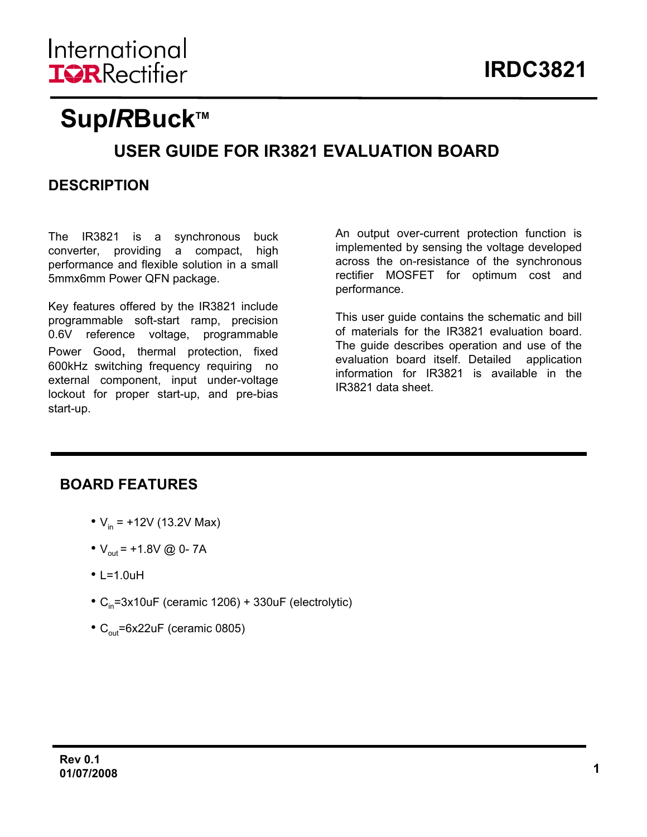# **Sup/RBuck™**

## **USER GUIDE FOR IR3821 EVALUATION BOARD**

## **DESCRIPTION**

The IR3821 is a synchronous buck converter, providing a compact, high performance and flexible solution in a small 5mmx6mm Power QFN package.

Key features offered by the IR3821 include programmable soft-start ramp, precision 0.6V reference voltage, programmable Power Good, thermal protection, fixed 600kHz switching frequency requiring no external component, input under-voltage lockout for proper start-up, and pre-bias start-up.

An output over-current protection function is implemented by sensing the voltage developed across the on-resistance of the synchronous rectifier MOSFET for optimum cost and performance.

This user guide contains the schematic and bill of materials for the IR3821 evaluation board. The guide describes operation and use of the evaluation board itself. Detailed application information for IR3821 is available in the IR3821 data sheet.

### **BOARD FEATURES**

- $V_{in}$  = +12V (13.2V Max)
- $V_{\text{out}}$  = +1.8V @ 0-7A
- $\cdot$  L=1.0uH
- $C_{in}$ =3x10uF (ceramic 1206) + 330uF (electrolytic)
- $C_{\text{out}}$ =6x22uF (ceramic 0805)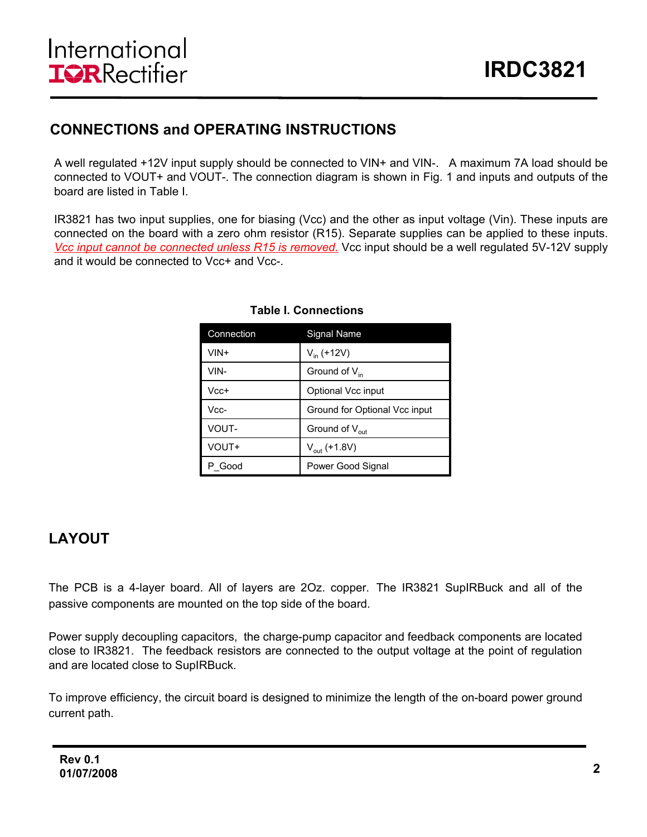## **CONNECTIONS and OPERATING INSTRUCTIONS**

A well regulated +12V input supply should be connected to VIN+ and VIN-. A maximum 7A load should be connected to VOUT+ and VOUT-. The connection diagram is shown in Fig. 1 and inputs and outputs of the board are listed in Table I.

IR3821 has two input supplies, one for biasing (Vcc) and the other as input voltage (Vin). These inputs are connected on the board with a zero ohm resistor (R15). Separate supplies can be applied to these inputs. *Vcc input cannot be connected unless R15 is removed.* Vcc input should be a well regulated 5V-12V supply and it would be connected to Vcc+ and Vcc-

| Connection | Signal Name                   |
|------------|-------------------------------|
| VIN+       | $V_{in}$ (+12V)               |
| VIN-       | Ground of $V_{in}$            |
| Vcc+       | Optional Vcc input            |
| Vcc-       | Ground for Optional Vcc input |
| VOUT-      | Ground of $V_{\text{out}}$    |
| VOUT+      | $V_{\text{out}}$ (+1.8V)      |
| P Good     | Power Good Signal             |

#### **Table I. Connections**

### **LAYOUT**

The PCB is a 4-layer board. All of layers are 2Oz. copper. The IR3821 SupIRBuck and all of the passive components are mounted on the top side of the board.

Power supply decoupling capacitors, the charge-pump capacitor and feedback components are located close to IR3821. The feedback resistors are connected to the output voltage at the point of regulation and are located close to SupIRBuck.

To improve efficiency, the circuit board is designed to minimize the length of the on-board power ground current path.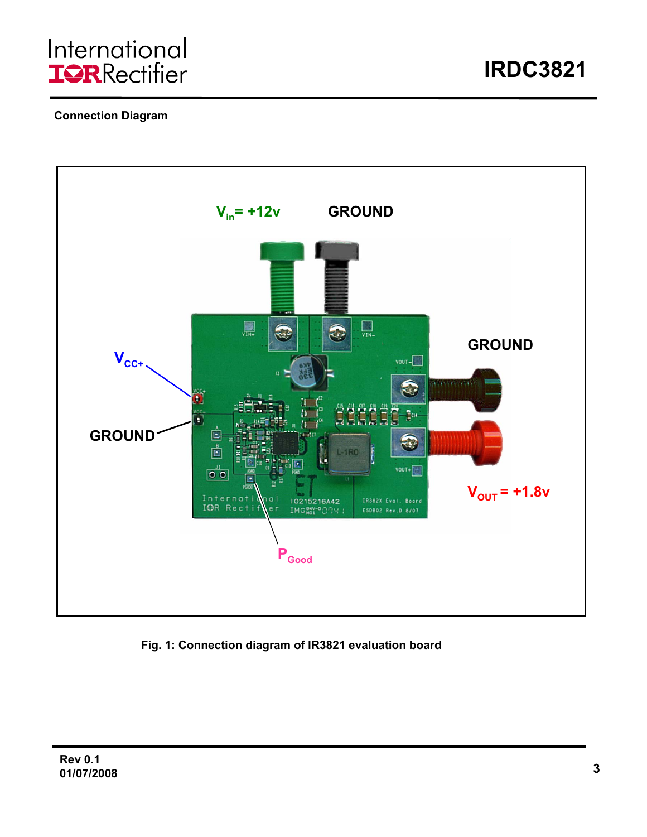### **Connection Diagram**



**Fig. 1: Connection diagram of IR3821 evaluation board**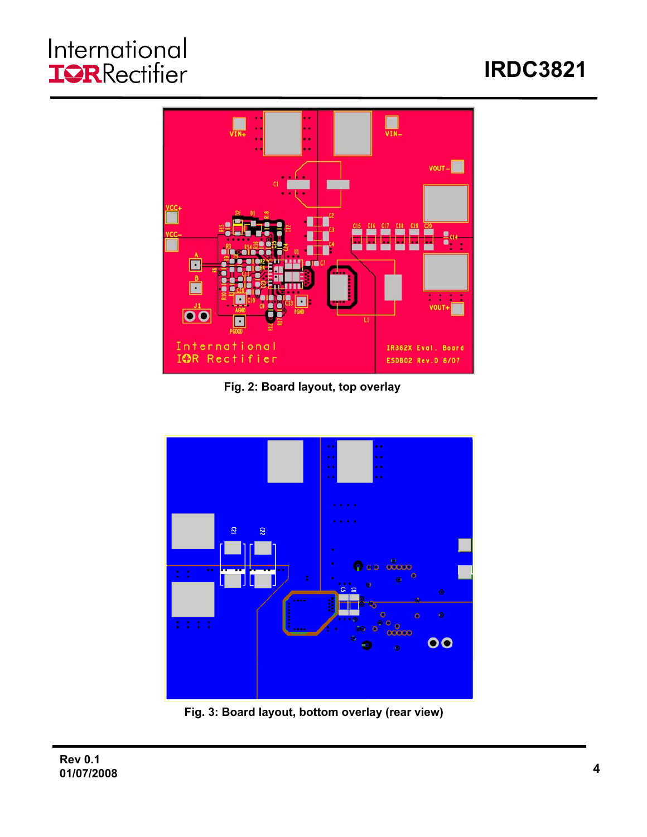# International<br>**IGR**Rectifier

# **IRDC3821**



**Fig. 2: Board layout, top overlay**



**Fig. 3: Board layout, bottom overlay (rear view)**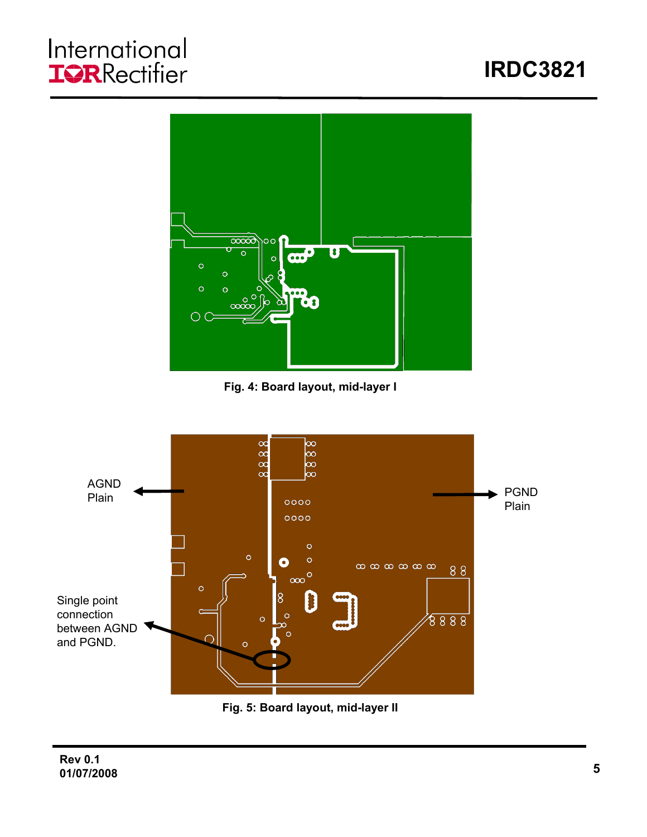# International<br>**IGR**Rectifier





**Fig. 4: Board layout, mid-layer I**



**Fig. 5: Board layout, mid-layer II**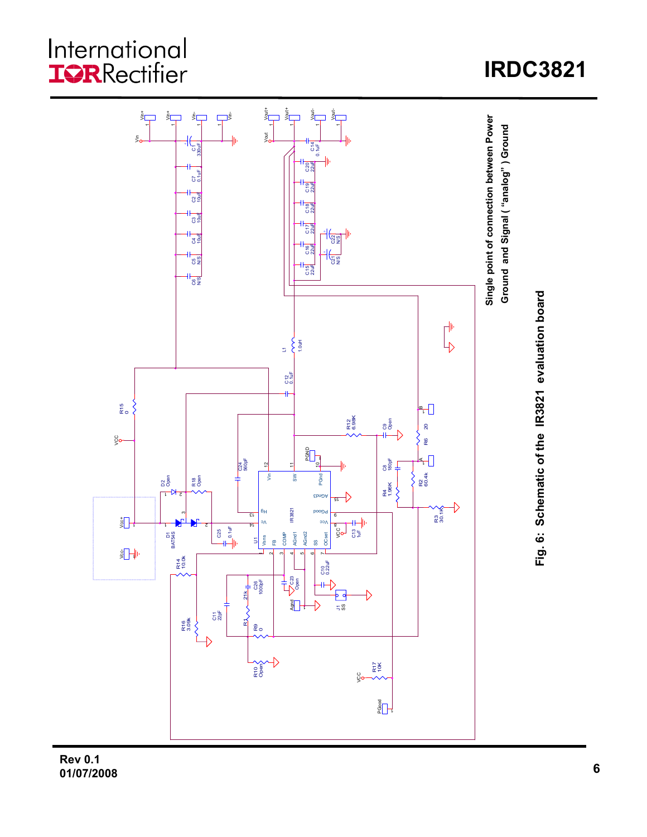# International<br>**IOR**Rectifier

#### $\sum_{i=1}^{\infty}\frac{1}{i}$ Vin+ g<br>Sider Vin+  $\overline{\overline{z}}$ Vin-1 Single point of connection between Power **Single point of connection between Power** Ground and Signal ("analog") Ground **Ground and Signal ( "analog" ) Ground**  $\frac{1}{2}$ Vout C14 0.1uF 330uF  $\rm\ddot{o}$ C20 22uF 0.1uF  $\sigma$ 22uF ဦ  $23$ 22uF កី ូមី<br>បី C17 22uF  $\frac{4}{3}$ ਰ<br>ਹਵਾ C16 22uF  $+$  $\sqrt{\frac{2}{3}}$ C5 N/S C15 22uF ဗန္ဓ Fig. 6: Schematic of the IR3821 evaluation board **Fig. 6: Schematic of the IR3821 evaluation board**  $\mathbb{F}^+$ 1.0uH  $\overline{\mathbb{Z}}$ C12 0.1uF ł۴ R15 0 Գ R12 6.98K ិ<br>បិទ  $\overline{20}$ R6 20  $\frac{C}{20}$ R6  $\overline{\mathbb{S}}\mathbb{H}$ Ð C24 560pF C8 180pF A  $\frac{11}{5}$  $\begin{array}{|c|c|c|c|c|}\n\hline\n\text{S}}\n\hline\n\text{S}}\n\end{array}\n\quad \begin{array}{c}\n\text{S}}\n\text{B}\n\end{array}\n\quad \begin{array}{c}\n\text{C}}\n\text{C}\n\text{D}\n\end{array}\n\quad \begin{array}{c}\n\text{C}\n\text{D}\n\text{C}\n\end{array}$ L.  $\tilde{\xi}$ **PGnd** R2 60.4k a<br>Open R18 Open R4 1.96K  $\left\{ \right\}$ AGnd3 <sup>15</sup> L 2 IR3821 R3 30.1K ᆵ 해 PGood 6  $\frac{1}{2}$ Vcc  $\overline{H}$  <sup>3V</sup> 1 l. 2 8 C25 0.1uF COMP AGnd1 SS<br>- OCset gol 흥불 AGnd2 D1 BAT54S Vsns  $5\frac{1}{2}$ FB 니 8 H  $^{\circ}$ 4R14 10.0k C10 0.22uF က<br>လို၏  $21k$ C26 1000pF R1 21k  $\overline{\mathbf{F}}$ Ð ≒ 3 ι. ភង្គ R16 3.09k  $\left\{ \right\}$ R9 0 R17 10K R10 Open g  $\sqrt[3]{\mathsf{H}}$

# **IRDC3821**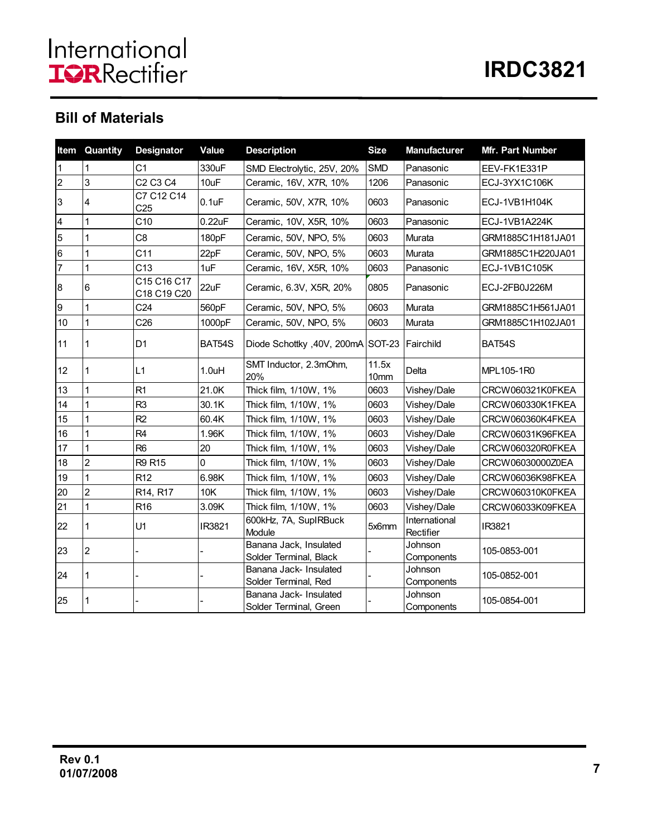## **Bill of Materials**

|                | <b>Item Quantity</b> | <b>Designator</b>                            | Value              | <b>Description</b>                               | <b>Size</b>   | <b>Manufacturer</b>        | Mfr. Part Number  |
|----------------|----------------------|----------------------------------------------|--------------------|--------------------------------------------------|---------------|----------------------------|-------------------|
| 1              | 1                    | C <sub>1</sub>                               | 330uF              | SMD Electrolytic, 25V, 20%                       | <b>SMD</b>    | Panasonic                  | EEV-FK1E331P      |
| $\overline{2}$ | 3                    | C <sub>2</sub> C <sub>3</sub> C <sub>4</sub> | 10uF               | Ceramic, 16V, X7R, 10%                           | 1206          | Panasonic                  | ECJ-3YX1C106K     |
| 3              | 4                    | C7 C12 C14<br>C <sub>25</sub>                | 0.1uF              | Ceramic, 50V, X7R, 10%                           | 0603          | Panasonic                  | ECJ-1VB1H104K     |
| 4              | $\mathbf{1}$         | C10                                          | $0.22$ u $F$       | Ceramic, 10V, X5R, 10%                           | 0603          | Panasonic                  | ECJ-1VB1A224K     |
| 5              | 1                    | C8                                           | 180pF              | Ceramic, 50V, NPO, 5%                            | 0603          | Murata                     | GRM1885C1H181JA01 |
| 6              | 1                    | C <sub>11</sub>                              | 22pF               | Ceramic, 50V, NPO, 5%                            | 0603          | Murata                     | GRM1885C1H220JA01 |
| 7              | 1                    | C13                                          | 1uF                | Ceramic, 16V, X5R, 10%                           | 0603          | Panasonic                  | ECJ-1VB1C105K     |
| 8              | 6                    | C15 C16 C17<br>C18 C19 C20                   | 22uF               | Ceramic, 6.3V, X5R, 20%                          | 0805          | Panasonic                  | ECJ-2FB0J226M     |
| 9              | 1                    | C <sub>24</sub>                              | 560pF              | Ceramic, 50V, NPO, 5%                            | 0603          | Murata                     | GRM1885C1H561JA01 |
| 10             | $\overline{1}$       | C <sub>26</sub>                              | 1000pF             | Ceramic, 50V, NPO, 5%                            | 0603          | Murata                     | GRM1885C1H102JA01 |
| 11             | 1                    | D <sub>1</sub>                               | BAT54S             | Diode Schottky, 40V, 200mA SOT-23                |               | <b>IFairchild</b>          | BAT54S            |
| 12             | 1                    | L1                                           | 1.0 <sub>u</sub> H | SMT Inductor, 2.3mOhm,<br>20%                    | 11.5x<br>10mm | Delta                      | MPL105-1R0        |
| 13             | 1                    | R1                                           | 21.0K              | Thick film, 1/10W, 1%                            | 0603          | Vishey/Dale                | CRCW060321K0FKEA  |
| 14             | $\mathbf{1}$         | R <sub>3</sub>                               | 30.1K              | Thick film, 1/10W, 1%                            | 0603          | Vishey/Dale                | CRCW060330K1FKEA  |
| 15             | 1                    | R <sub>2</sub>                               | 60.4K              | Thick film, 1/10W, 1%                            | 0603          | Vishey/Dale                | CRCW060360K4FKEA  |
| 16             | 1                    | R <sub>4</sub>                               | 1.96K              | Thick film, 1/10W, 1%                            | 0603          | Vishey/Dale                | CRCW06031K96FKEA  |
| 17             | $\mathbf{1}$         | R <sub>6</sub>                               | 20                 | Thick film, 1/10W, 1%                            | 0603          | Vishey/Dale                | CRCW060320R0FKEA  |
| 18             | $\overline{2}$       | R9 R15                                       | $\Omega$           | Thick film, 1/10W, 1%                            | 0603          | Vishey/Dale                | CRCW06030000Z0EA  |
| 19             | 1                    | R <sub>12</sub>                              | 6.98K              | Thick film, 1/10W, 1%                            | 0603          | Vishey/Dale                | CRCW06036K98FKEA  |
| 20             | $\overline{2}$       | R <sub>14</sub> , R <sub>17</sub>            | 10K                | Thick film, 1/10W, 1%                            | 0603          | Vishey/Dale                | CRCW060310K0FKEA  |
| 21             | $\overline{1}$       | R <sub>16</sub>                              | 3.09K              | Thick film, 1/10W, 1%                            | 0603          | Vishey/Dale                | CRCW06033K09FKEA  |
| 22             | 1                    | U1                                           | IR3821             | 600kHz, 7A, SupIRBuck<br>Module                  | 5x6mm         | International<br>Rectifier | IR3821            |
| 23             | $\overline{2}$       |                                              |                    | Banana Jack, Insulated<br>Solder Terminal, Black |               | Johnson<br>Components      | 105-0853-001      |
| 24             | 1                    |                                              |                    | Banana Jack- Insulated<br>Solder Terminal, Red   |               | Johnson<br>Components      | 105-0852-001      |
| 25             | 1                    |                                              |                    | Banana Jack- Insulated<br>Solder Terminal, Green |               | Johnson<br>Components      | 105-0854-001      |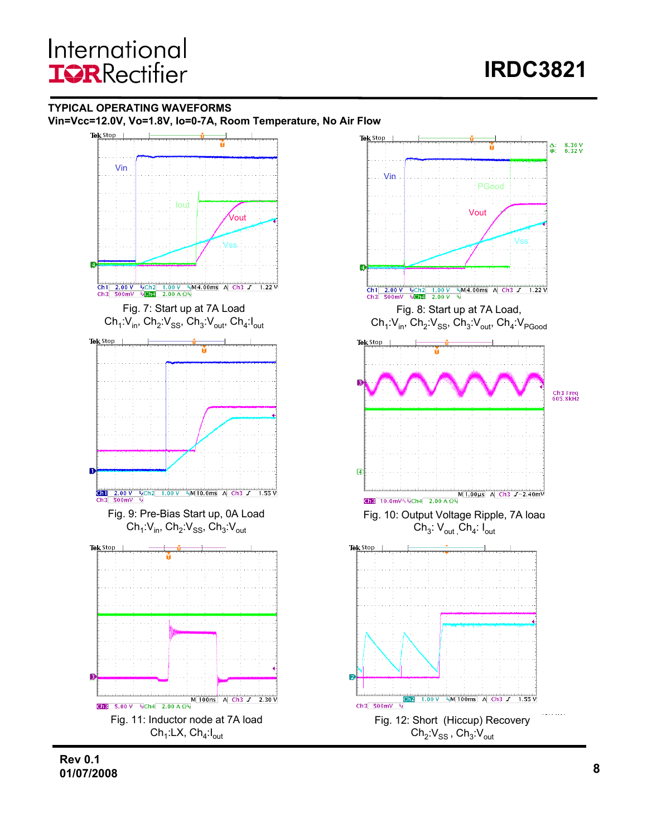#### **TYPICAL OPERATING WAVEFORMS Vin=Vcc=12.0V, Vo=1.8V, Io=0-7A, Room Temperature, No Air Flow**



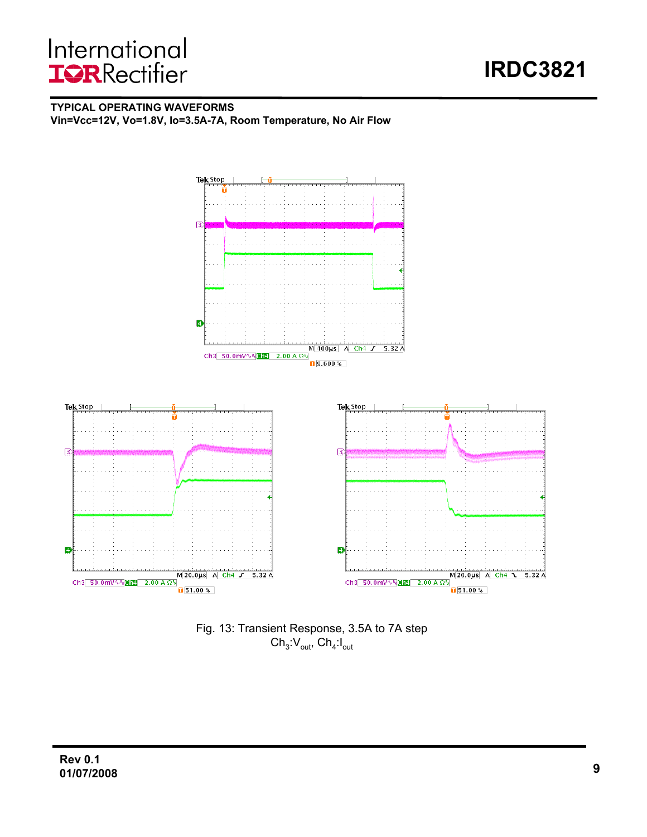#### **TYPICAL OPERATING WAVEFORMS**

**Vin=Vcc=12V, Vo=1.8V, Io=3.5A-7A, Room Temperature, No Air Flow**



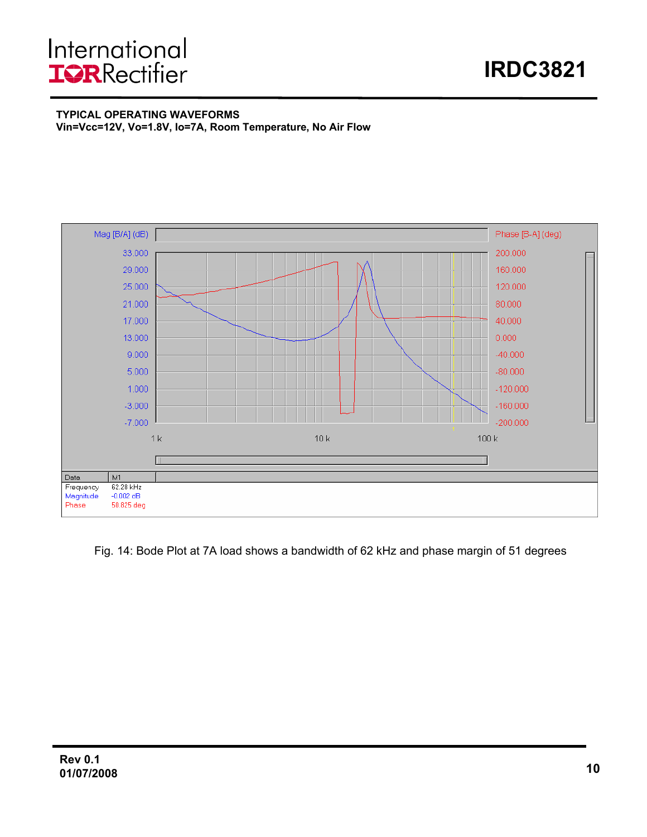# International **IQRRectifier**

#### **TYPICAL OPERATING WAVEFORMS Vin=Vcc=12V, Vo=1.8V, Io=7A, Room Temperature, No Air Flow**



Fig. 14: Bode Plot at 7A load shows a bandwidth of 62 kHz and phase margin of 51 degrees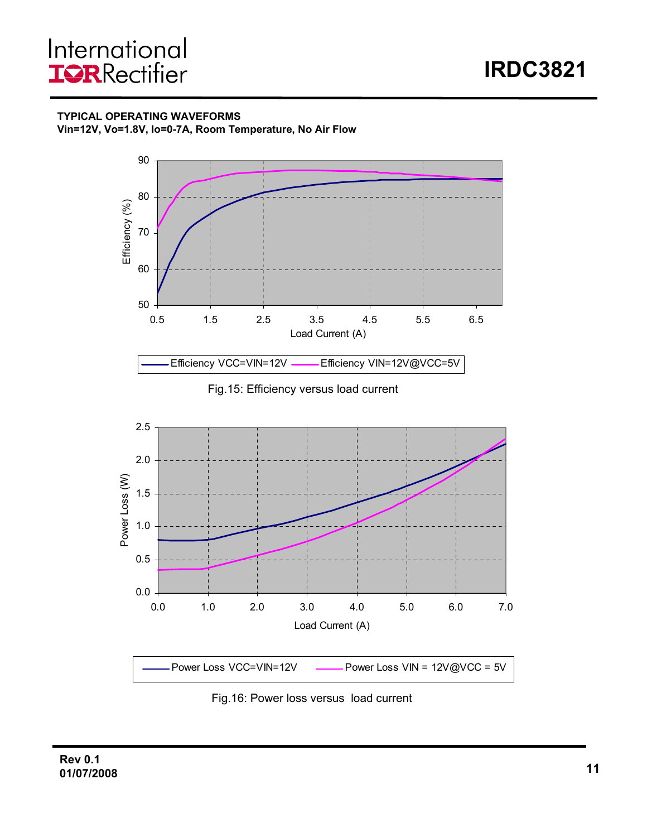**TYPICAL OPERATING WAVEFORMS**





Fig.15: Efficiency versus load current



Fig.16: Power loss versus load current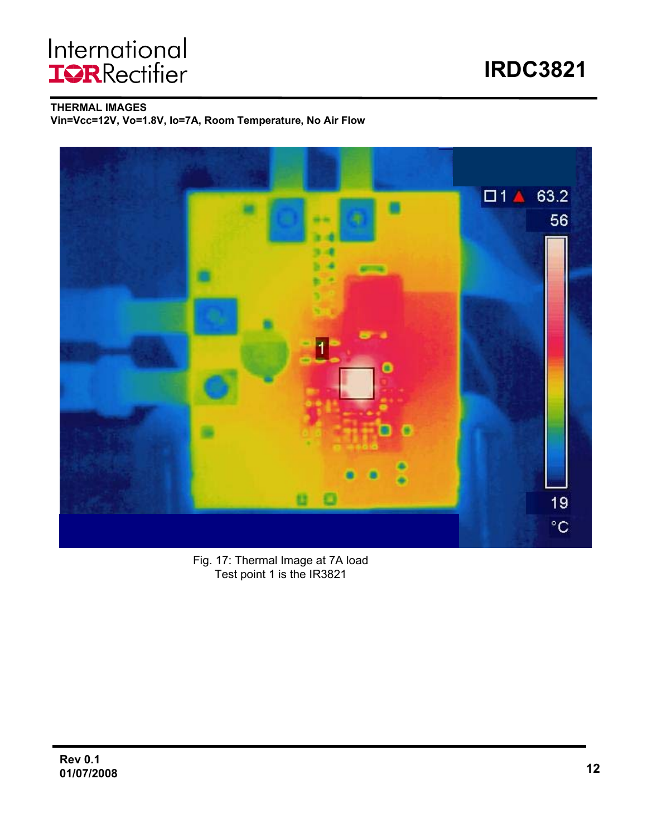# International<br>**IGR**Rectifier

**IRDC3821**

**THERMAL IMAGES**

**Vin=Vcc=12V, Vo=1.8V, Io=7A, Room Temperature, No Air Flow**



Fig. 17: Thermal Image at 7A load Test point 1 is the IR3821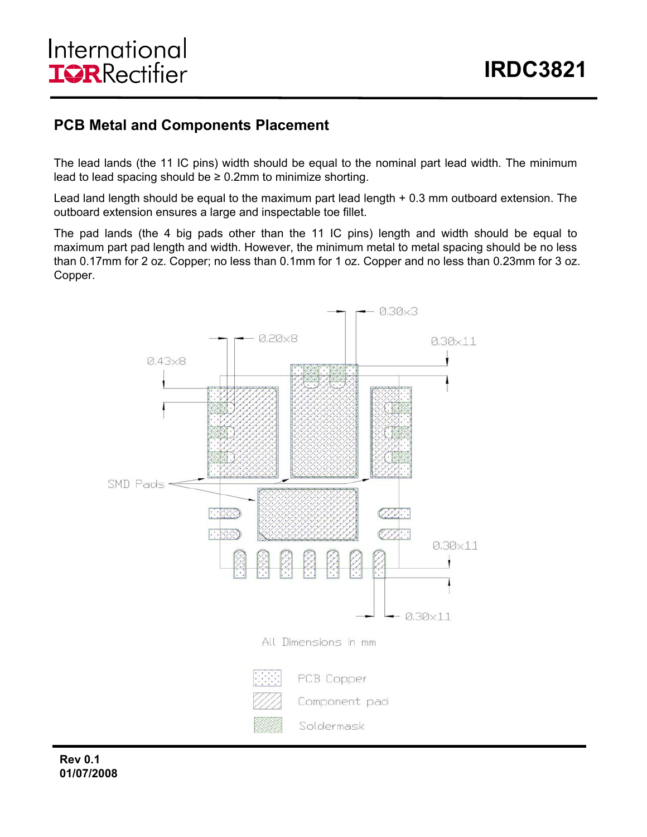### **PCB Metal and Components Placement**

The lead lands (the 11 IC pins) width should be equal to the nominal part lead width. The minimum lead to lead spacing should be  $\geq 0.2$ mm to minimize shorting.

Lead land length should be equal to the maximum part lead length + 0.3 mm outboard extension. The outboard extension ensures a large and inspectable toe fillet.

The pad lands (the 4 big pads other than the 11 IC pins) length and width should be equal to maximum part pad length and width. However, the minimum metal to metal spacing should be no less than 0.17mm for 2 oz. Copper; no less than 0.1mm for 1 oz. Copper and no less than 0.23mm for 3 oz. Copper.

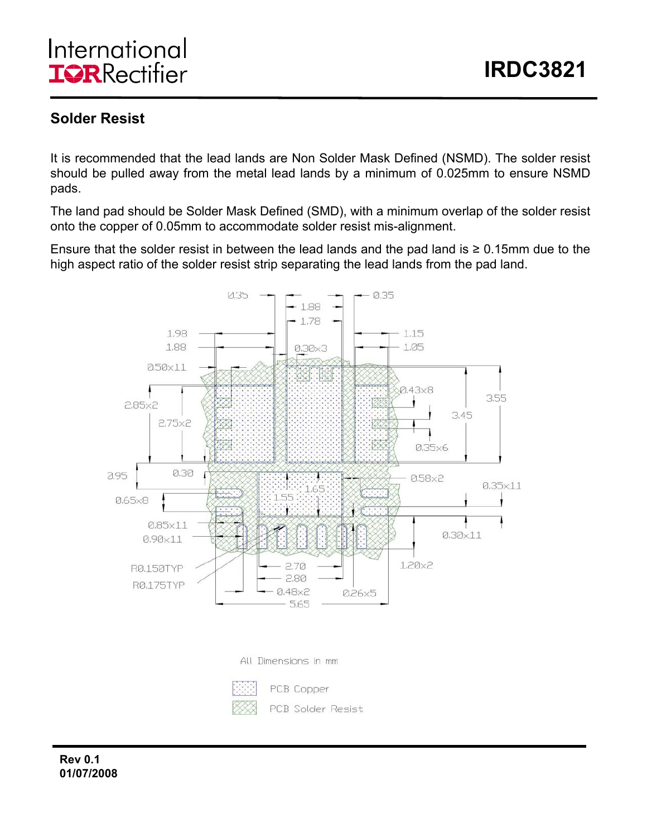## **Solder Resist**

It is recommended that the lead lands are Non Solder Mask Defined (NSMD). The solder resist should be pulled away from the metal lead lands by a minimum of 0.025mm to ensure NSMD pads.

The land pad should be Solder Mask Defined (SMD), with a minimum overlap of the solder resist onto the copper of 0.05mm to accommodate solder resist mis-alignment.

Ensure that the solder resist in between the lead lands and the pad land is  $\geq 0.15$ mm due to the high aspect ratio of the solder resist strip separating the lead lands from the pad land.





PCB Copper PCB Solder Resist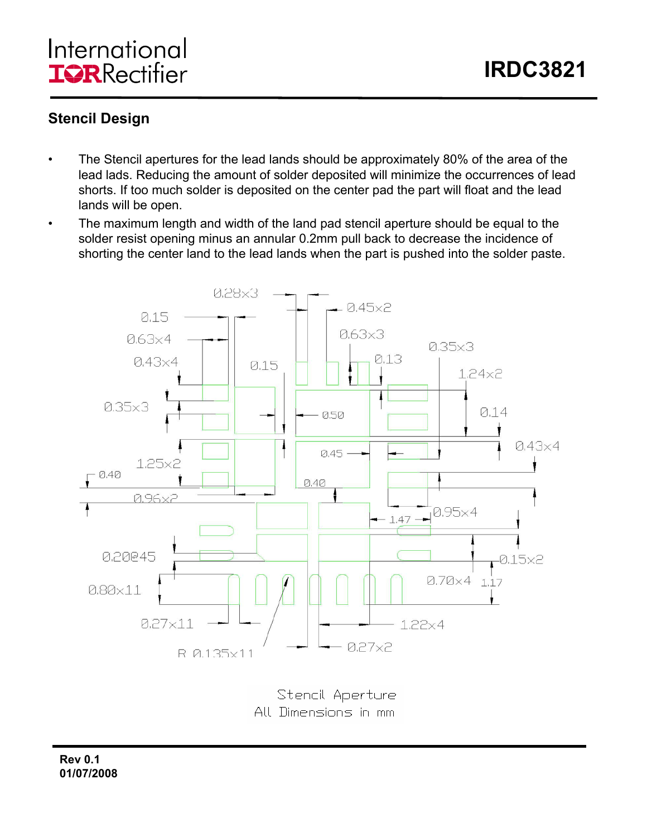## **Stencil Design**

- The Stencil apertures for the lead lands should be approximately 80% of the area of the lead lads. Reducing the amount of solder deposited will minimize the occurrences of lead shorts. If too much solder is deposited on the center pad the part will float and the lead lands will be open.
- The maximum length and width of the land pad stencil aperture should be equal to the solder resist opening minus an annular 0.2mm pull back to decrease the incidence of shorting the center land to the lead lands when the part is pushed into the solder paste.



Stencil Aperture All Dimensions in mm